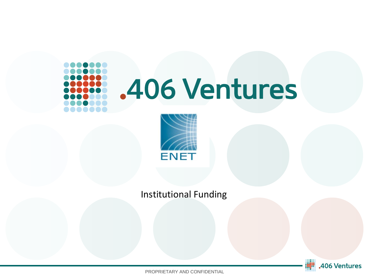# .406 Ventures



Institutional Funding



PROPRIETARY AND CONFIDENTIAL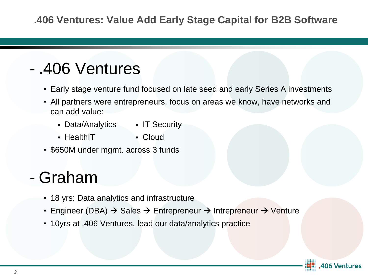# - .406 Ventures

- Early stage venture fund focused on late seed and early Series A investments
- All partners were entrepreneurs, focus on areas we know, have networks and can add value:
	- Data/Analytics IT Security
		-
	- HealthIT
- Cloud
- \$650M under mgmt. across 3 funds

## - Graham

- 18 yrs: Data analytics and infrastructure
- Engineer (DBA)  $\rightarrow$  Sales  $\rightarrow$  Entrepreneur  $\rightarrow$  Intrepreneur  $\rightarrow$  Venture
- 10yrs at .406 Ventures, lead our data/analytics practice

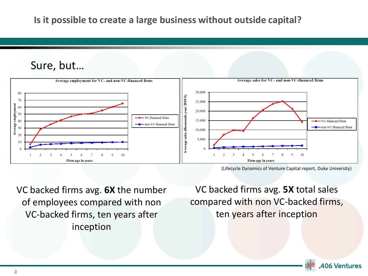#### Sure, but…



<sup>(</sup>Lifecycle Dynamics of Venture Capital report, Duke University)

VC backed firms avg. **6X** the number of employees compared with non VC-backed firms, ten years after inception

VC backed firms avg. **5X** total sales compared with non VC-backed firms, ten years after inception

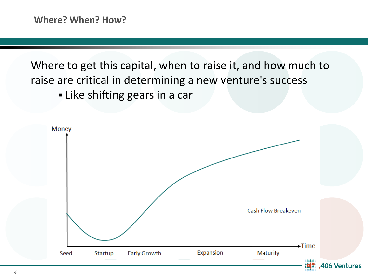Where to get this capital, when to raise it, and how much to raise are critical in determining a new venture's success **.** Like shifting gears in a car

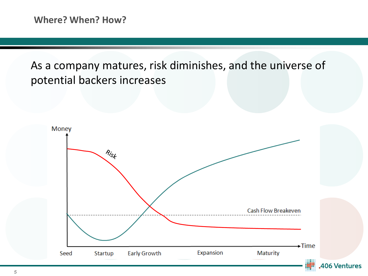As a company matures, risk diminishes, and the universe of potential backers increases

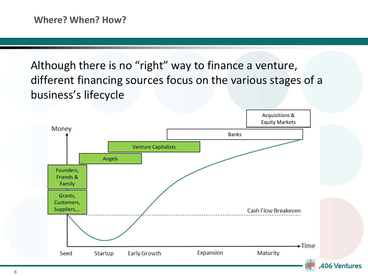Although there is no "right" way to finance a venture, different financing sources focus on the various stages of a business's lifecycle

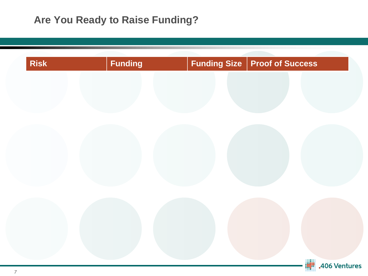## **Are You Ready to Raise Funding?**

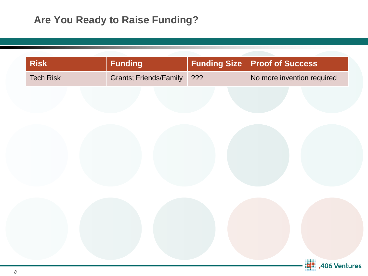## **Are You Ready to Raise Funding?**

**Risk Funding Funding Size Proof of Success**

Tech Risk Grants; Friends/Family ??? No more invention required

| <b>A06 Ventures</b> |
|---------------------|
|                     |
|                     |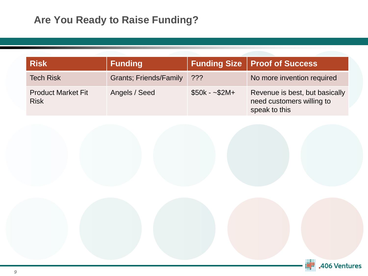| <b>Risk</b>                              | <b>Funding</b>                 |               | <b>Funding Size   Proof of Success</b>                                       |
|------------------------------------------|--------------------------------|---------------|------------------------------------------------------------------------------|
| <b>Tech Risk</b>                         | <b>Grants</b> ; Friends/Family | $??\%$        | No more invention required                                                   |
| <b>Product Market Fit</b><br><b>Risk</b> | Angels / Seed                  | $$50k - $2M+$ | Revenue is best, but basically<br>need customers willing to<br>speak to this |

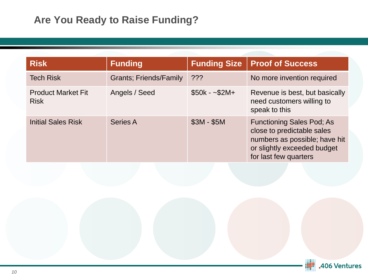| <b>Risk</b>                              | <b>Funding</b>                 | <b>Funding Size</b> | <b>Proof of Success</b>                                                                                                                                 |
|------------------------------------------|--------------------------------|---------------------|---------------------------------------------------------------------------------------------------------------------------------------------------------|
| <b>Tech Risk</b>                         | <b>Grants</b> ; Friends/Family | $?$ ??              | No more invention required                                                                                                                              |
| <b>Product Market Fit</b><br><b>Risk</b> | Angels / Seed                  | $$50k - $2M+$       | Revenue is best, but basically<br>need customers willing to<br>speak to this                                                                            |
| <b>Initial Sales Risk</b>                | <b>Series A</b>                | $$3M - $5M$         | <b>Functioning Sales Pod; As</b><br>close to predictable sales<br>numbers as possible; have hit<br>or slightly exceeded budget<br>for last few quarters |

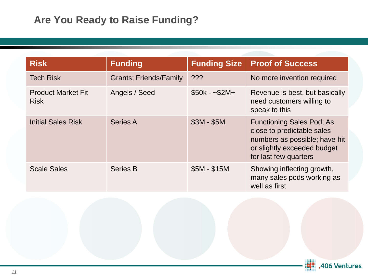| <b>Risk</b>                              | <b>Funding</b>                 | <b>Funding Size</b> | <b>Proof of Success</b>                                                                                                                                 |
|------------------------------------------|--------------------------------|---------------------|---------------------------------------------------------------------------------------------------------------------------------------------------------|
| <b>Tech Risk</b>                         | <b>Grants</b> ; Friends/Family | ???                 | No more invention required                                                                                                                              |
| <b>Product Market Fit</b><br><b>Risk</b> | Angels / Seed                  | $$50k - $2M+$       | Revenue is best, but basically<br>need customers willing to<br>speak to this                                                                            |
| <b>Initial Sales Risk</b>                | <b>Series A</b>                | $$3M - $5M$         | <b>Functioning Sales Pod; As</b><br>close to predictable sales<br>numbers as possible; have hit<br>or slightly exceeded budget<br>for last few quarters |
| <b>Scale Sales</b>                       | <b>Series B</b>                | $$5M - $15M$        | Showing inflecting growth,<br>many sales pods working as<br>well as first                                                                               |

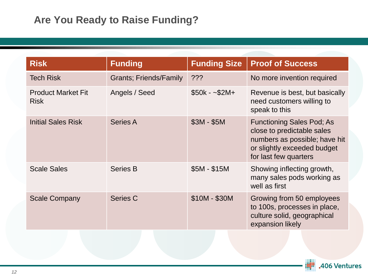| <b>Risk</b>                              | <b>Funding</b>                 | <b>Funding Size</b> | <b>Proof of Success</b>                                                                                                                                 |
|------------------------------------------|--------------------------------|---------------------|---------------------------------------------------------------------------------------------------------------------------------------------------------|
| <b>Tech Risk</b>                         | <b>Grants</b> ; Friends/Family | ???                 | No more invention required                                                                                                                              |
| <b>Product Market Fit</b><br><b>Risk</b> | Angels / Seed                  | $$50k - $2M+$       | Revenue is best, but basically<br>need customers willing to<br>speak to this                                                                            |
| <b>Initial Sales Risk</b>                | <b>Series A</b>                | $$3M - $5M$         | <b>Functioning Sales Pod; As</b><br>close to predictable sales<br>numbers as possible; have hit<br>or slightly exceeded budget<br>for last few quarters |
| <b>Scale Sales</b>                       | <b>Series B</b>                | $$5M - $15M$        | Showing inflecting growth,<br>many sales pods working as<br>well as first                                                                               |
| <b>Scale Company</b>                     | <b>Series C</b>                | $$10M - $30M$       | Growing from 50 employees<br>to 100s, processes in place,<br>culture solid, geographical<br>expansion likely                                            |

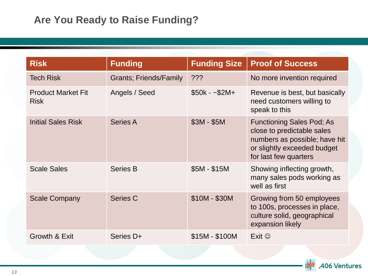| <b>Risk</b>                              | <b>Funding</b>                 | <b>Funding Size</b> | <b>Proof of Success</b>                                                                                                                                 |
|------------------------------------------|--------------------------------|---------------------|---------------------------------------------------------------------------------------------------------------------------------------------------------|
| <b>Tech Risk</b>                         | <b>Grants</b> ; Friends/Family | ???                 | No more invention required                                                                                                                              |
| <b>Product Market Fit</b><br><b>Risk</b> | Angels / Seed                  | $$50k - $2M+$       | Revenue is best, but basically<br>need customers willing to<br>speak to this                                                                            |
| <b>Initial Sales Risk</b>                | Series A                       | $$3M - $5M$         | <b>Functioning Sales Pod; As</b><br>close to predictable sales<br>numbers as possible; have hit<br>or slightly exceeded budget<br>for last few quarters |
| <b>Scale Sales</b>                       | <b>Series B</b>                | $$5M - $15M$        | Showing inflecting growth,<br>many sales pods working as<br>well as first                                                                               |
| <b>Scale Company</b>                     | <b>Series C</b>                | $$10M - $30M$       | Growing from 50 employees<br>to 100s, processes in place,<br>culture solid, geographical<br>expansion likely                                            |
| Growth & Exit                            | Series D+                      | $$15M - $100M$      | Exit $\odot$                                                                                                                                            |